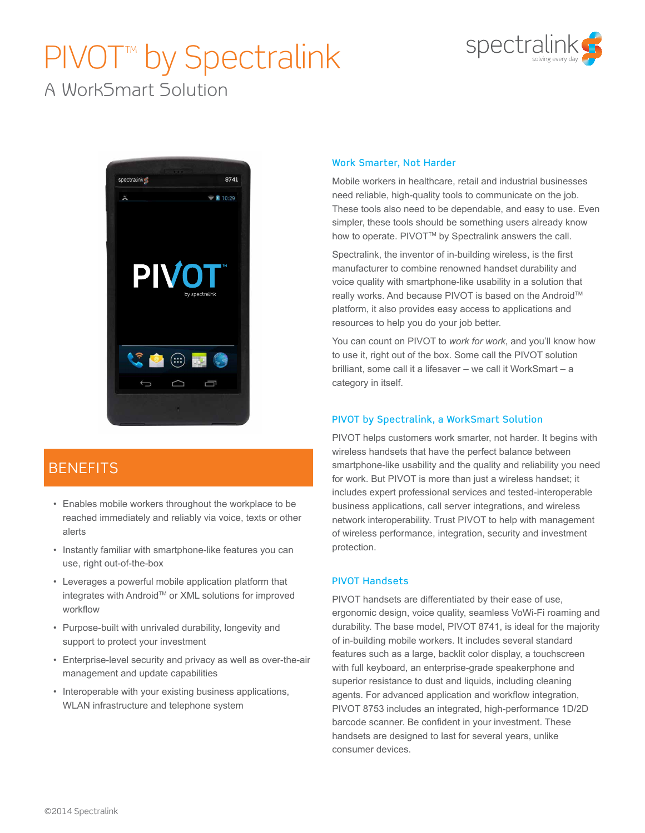# PIVOT<sup>™</sup> by Spectralink



A WorkSmart Solution



## **BENEFITS**

- Enables mobile workers throughout the workplace to be reached immediately and reliably via voice, texts or other alerts
- Instantly familiar with smartphone-like features you can use, right out-of-the-box
- Leverages a powerful mobile application platform that integrates with Android™ or XML solutions for improved workflow
- Purpose-built with unrivaled durability, longevity and support to protect your investment
- Enterprise-level security and privacy as well as over-the-air management and update capabilities
- Interoperable with your existing business applications, WLAN infrastructure and telephone system

#### Work Smarter, Not Harder

Mobile workers in healthcare, retail and industrial businesses need reliable, high-quality tools to communicate on the job. These tools also need to be dependable, and easy to use. Even simpler, these tools should be something users already know how to operate. PIVOT™ by Spectralink answers the call.

Spectralink, the inventor of in-building wireless, is the first manufacturer to combine renowned handset durability and voice quality with smartphone-like usability in a solution that really works. And because PIVOT is based on the Android™ platform, it also provides easy access to applications and resources to help you do your job better.

You can count on PIVOT to *work for work*, and you'll know how to use it, right out of the box. Some call the PIVOT solution brilliant, some call it a lifesaver – we call it WorkSmart – a category in itself.

### PIVOT by Spectralink, a WorkSmart Solution

PIVOT helps customers work smarter, not harder. It begins with wireless handsets that have the perfect balance between smartphone-like usability and the quality and reliability you need for work. But PIVOT is more than just a wireless handset; it includes expert professional services and tested-interoperable business applications, call server integrations, and wireless network interoperability. Trust PIVOT to help with management of wireless performance, integration, security and investment protection.

#### PIVOT Handsets

PIVOT handsets are differentiated by their ease of use, ergonomic design, voice quality, seamless VoWi-Fi roaming and durability. The base model, PIVOT 8741, is ideal for the majority of in-building mobile workers. It includes several standard features such as a large, backlit color display, a touchscreen with full keyboard, an enterprise-grade speakerphone and superior resistance to dust and liquids, including cleaning agents. For advanced application and workflow integration, PIVOT 8753 includes an integrated, high-performance 1D/2D barcode scanner. Be confident in your investment. These handsets are designed to last for several years, unlike consumer devices.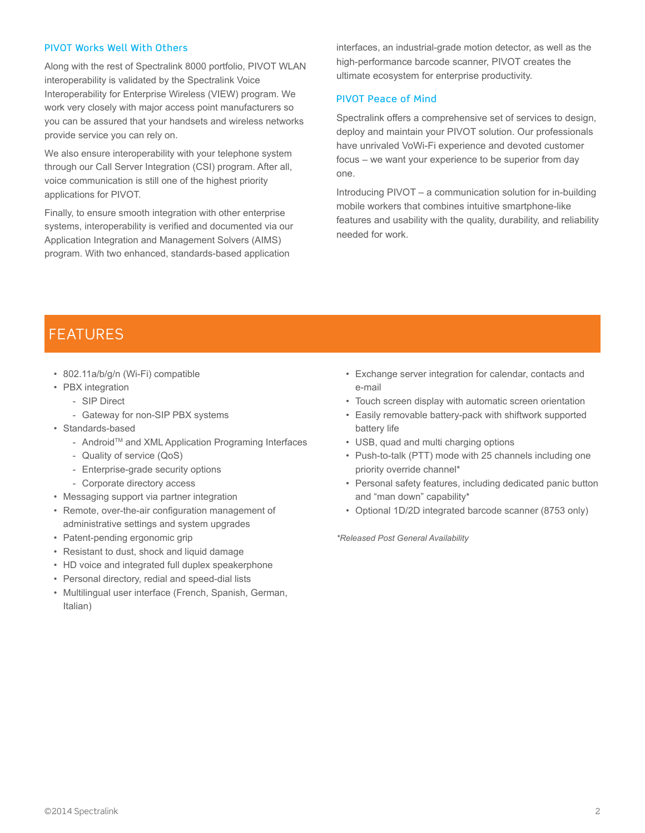#### PIVOT Works Well With Others

Along with the rest of Spectralink 8000 portfolio, PIVOT WLAN interoperability is validated by the Spectralink Voice Interoperability for Enterprise Wireless (VIEW) program. We work very closely with major access point manufacturers so you can be assured that your handsets and wireless networks provide service you can rely on.

We also ensure interoperability with your telephone system through our Call Server Integration (CSI) program. After all, voice communication is still one of the highest priority applications for PIVOT.

Finally, to ensure smooth integration with other enterprise systems, interoperability is verified and documented via our Application Integration and Management Solvers (AIMS) program. With two enhanced, standards-based application

interfaces, an industrial-grade motion detector, as well as the high-performance barcode scanner, PIVOT creates the ultimate ecosystem for enterprise productivity.

#### PIVOT Peace of Mind

Spectralink offers a comprehensive set of services to design, deploy and maintain your PIVOT solution. Our professionals have unrivaled VoWi-Fi experience and devoted customer focus – we want your experience to be superior from day one.

Introducing PIVOT – a communication solution for in-building mobile workers that combines intuitive smartphone-like features and usability with the quality, durability, and reliability needed for work.

## **FEATURES**

- 802.11a/b/g/n (Wi-Fi) compatible
- PBX integration
	- SIP Direct
	- Gateway for non-SIP PBX systems
- Standards-based
	- AndroidTM and XML Application Programing Interfaces
	- Quality of service (QoS)
	- Enterprise-grade security options
	- Corporate directory access
- Messaging support via partner integration
- Remote, over-the-air configuration management of administrative settings and system upgrades
- Patent-pending ergonomic grip
- Resistant to dust, shock and liquid damage
- HD voice and integrated full duplex speakerphone
- Personal directory, redial and speed-dial lists
- Multilingual user interface (French, Spanish, German, Italian)
- Exchange server integration for calendar, contacts and e-mail
- Touch screen display with automatic screen orientation
- Easily removable battery-pack with shiftwork supported battery life
- USB, quad and multi charging options
- Push-to-talk (PTT) mode with 25 channels including one priority override channel\*
- Personal safety features, including dedicated panic button and "man down" capability\*
- Optional 1D/2D integrated barcode scanner (8753 only)

*\*Released Post General Availability*